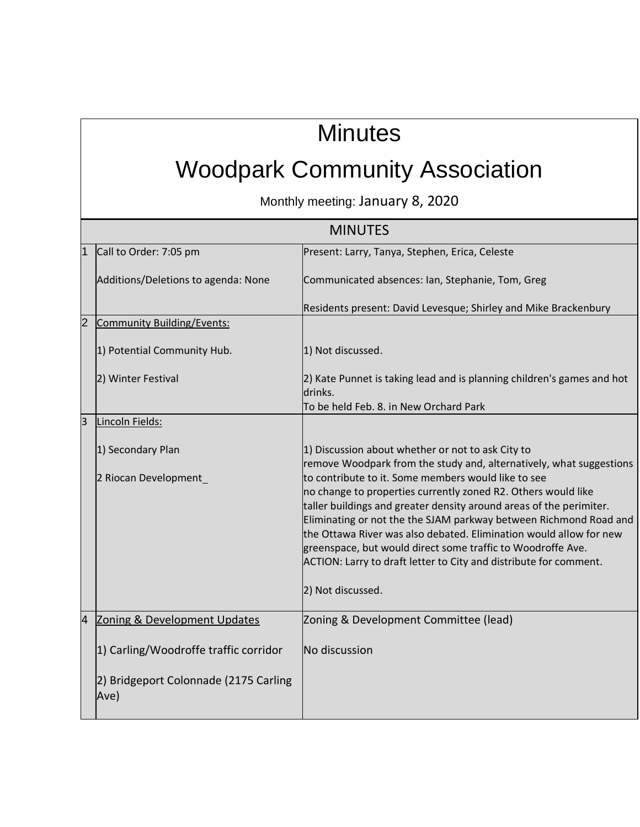## **Minutes**

## Woodpark Community Association

Monthly meeting: January 8, 2020

| <b>MINUTES</b> |                                               |                                                                                                                                         |  |
|----------------|-----------------------------------------------|-----------------------------------------------------------------------------------------------------------------------------------------|--|
| 1              | Call to Order: 7:05 pm                        | Present: Larry, Tanya, Stephen, Erica, Celeste                                                                                          |  |
|                | Additions/Deletions to agenda: None           | Communicated absences: Ian, Stephanie, Tom, Greg                                                                                        |  |
|                |                                               | Residents present: David Levesque; Shirley and Mike Brackenbury                                                                         |  |
| $\overline{2}$ | <b>Community Building/Events:</b>             |                                                                                                                                         |  |
|                | 1) Potential Community Hub.                   | 1) Not discussed.                                                                                                                       |  |
|                | 2) Winter Festival                            | 2) Kate Punnet is taking lead and is planning children's games and hot<br>drinks.                                                       |  |
|                |                                               | To be held Feb. 8. in New Orchard Park                                                                                                  |  |
| $\overline{3}$ | Lincoln Fields:                               |                                                                                                                                         |  |
|                | 1) Secondary Plan                             | 1) Discussion about whether or not to ask City to<br>remove Woodpark from the study and, alternatively, what suggestions                |  |
|                | 2 Riocan Development                          | to contribute to it. Some members would like to see<br>no change to properties currently zoned R2. Others would like                    |  |
|                |                                               | taller buildings and greater density around areas of the perimiter.                                                                     |  |
|                |                                               | Eliminating or not the the SJAM parkway between Richmond Road and<br>the Ottawa River was also debated. Elimination would allow for new |  |
|                |                                               | greenspace, but would direct some traffic to Woodroffe Ave.                                                                             |  |
|                |                                               | ACTION: Larry to draft letter to City and distribute for comment.                                                                       |  |
|                |                                               | 2) Not discussed.                                                                                                                       |  |
| $\overline{4}$ | Zoning & Development Updates                  | Zoning & Development Committee (lead)                                                                                                   |  |
|                | 1) Carling/Woodroffe traffic corridor         | No discussion                                                                                                                           |  |
|                | 2) Bridgeport Colonnade (2175 Carling<br>Ave) |                                                                                                                                         |  |